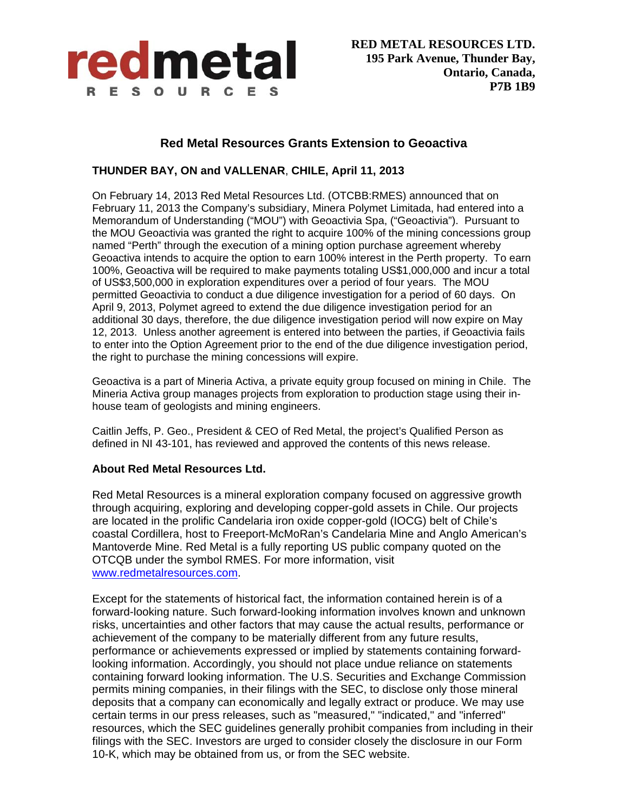

## **Red Metal Resources Grants Extension to Geoactiva**

## **THUNDER BAY, ON and VALLENAR**, **CHILE, April 11, 2013**

On February 14, 2013 Red Metal Resources Ltd. (OTCBB:RMES) announced that on February 11, 2013 the Company's subsidiary, Minera Polymet Limitada, had entered into a Memorandum of Understanding ("MOU") with Geoactivia Spa, ("Geoactivia"). Pursuant to the MOU Geoactivia was granted the right to acquire 100% of the mining concessions group named "Perth" through the execution of a mining option purchase agreement whereby Geoactiva intends to acquire the option to earn 100% interest in the Perth property. To earn 100%, Geoactiva will be required to make payments totaling US\$1,000,000 and incur a total of US\$3,500,000 in exploration expenditures over a period of four years. The MOU permitted Geoactivia to conduct a due diligence investigation for a period of 60 days. On April 9, 2013, Polymet agreed to extend the due diligence investigation period for an additional 30 days, therefore, the due diligence investigation period will now expire on May 12, 2013. Unless another agreement is entered into between the parties, if Geoactivia fails to enter into the Option Agreement prior to the end of the due diligence investigation period, the right to purchase the mining concessions will expire.

Geoactiva is a part of Mineria Activa, a private equity group focused on mining in Chile. The Mineria Activa group manages projects from exploration to production stage using their inhouse team of geologists and mining engineers.

Caitlin Jeffs, P. Geo., President & CEO of Red Metal, the project's Qualified Person as defined in NI 43-101, has reviewed and approved the contents of this news release.

## **About Red Metal Resources Ltd.**

Red Metal Resources is a mineral exploration company focused on aggressive growth through acquiring, exploring and developing copper-gold assets in Chile. Our projects are located in the prolific Candelaria iron oxide copper-gold (IOCG) belt of Chile's coastal Cordillera, host to Freeport-McMoRan's Candelaria Mine and Anglo American's Mantoverde Mine. Red Metal is a fully reporting US public company quoted on the OTCQB under the symbol RMES. For more information, visit www.redmetalresources.com.

Except for the statements of historical fact, the information contained herein is of a forward-looking nature. Such forward-looking information involves known and unknown risks, uncertainties and other factors that may cause the actual results, performance or achievement of the company to be materially different from any future results, performance or achievements expressed or implied by statements containing forwardlooking information. Accordingly, you should not place undue reliance on statements containing forward looking information. The U.S. Securities and Exchange Commission permits mining companies, in their filings with the SEC, to disclose only those mineral deposits that a company can economically and legally extract or produce. We may use certain terms in our press releases, such as "measured," "indicated," and "inferred" resources, which the SEC guidelines generally prohibit companies from including in their filings with the SEC. Investors are urged to consider closely the disclosure in our Form 10-K, which may be obtained from us, or from the SEC website.